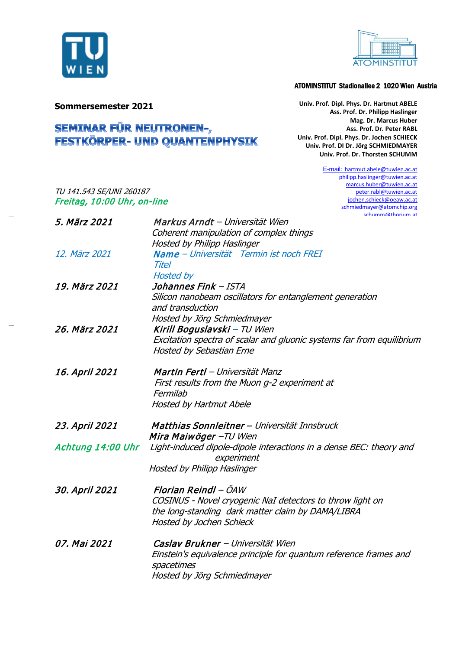



## ATOMINSTITUT Stadionallee 2 1020 Wien Austria

**Sommersemester 2021**

TU 141.543 SE/UNI 260187 Freitag, 10:00 Uhr, on-line

## **SEMINAR FÜR NEUTRONEN-,<br>FESTKÖRPER- UND QUANTENPHYSIK**

**Univ. Prof. Dipl. Phys. Dr. Hartmut ABELE Ass. Prof. Dr. Philipp Haslinger Mag. Dr. Marcus Huber Ass. Prof. Dr. Peter RABL Univ. Prof. Dipl. Phys. Dr. Jochen SCHIECK Univ. Prof. DI Dr. Jörg SCHMIEDMAYER Univ. Prof. Dr. Thorsten SCHUMM**

> E-mail: hartmu[t.abele@tuwien.ac.at](mailto:abele@tuwien.ac.at) [philipp.haslinger@tuwien.ac.at](mailto:philipp.haslinger@tuwien.ac.at) marcus.huber@tuwien.ac.at [peter.rabl@tuwien.ac.at](mailto:peter.rabl@tuwien.ac.at) [jochen.schieck@oeaw.ac.at](mailto:jochen.schieck@oeaw.ac.at) [schmiedmayer@atomchip.org](mailto:schmiedmayer@atomchip.org) [schumm@thorium.at](mailto:schumm@thorium.at)

| 5. März 2021      | Markus Arndt - Universität Wien                                       |
|-------------------|-----------------------------------------------------------------------|
|                   | Coherent manipulation of complex things                               |
|                   | Hosted by Philipp Haslinger                                           |
| 12. März 2021     | Name – Universität Termin ist noch FREI                               |
|                   | <b>Titel</b>                                                          |
|                   | <b>Hosted by</b>                                                      |
| 19. März 2021     | Johannes Fink - ISTA                                                  |
|                   | Silicon nanobeam oscillators for entanglement generation              |
|                   | and transduction                                                      |
|                   | Hosted by Jörg Schmiedmayer                                           |
| 26. März 2021     | Kirill Boguslavski - TU Wien                                          |
|                   | Excitation spectra of scalar and gluonic systems far from equilibrium |
|                   | <b>Hosted by Sebastian Erne</b>                                       |
| 16. April 2021    | Martin Fertl - Universität Manz                                       |
|                   | First results from the Muon g-2 experiment at                         |
|                   | Fermilab                                                              |
|                   | <b>Hosted by Hartmut Abele</b>                                        |
|                   |                                                                       |
| 23. April 2021    | Matthias Sonnleitner – Universität Innsbruck                          |
|                   | Mira Maiwöger - TU Wien                                               |
| Achtung 14:00 Uhr | Light-induced dipole-dipole interactions in a dense BEC: theory and   |
|                   | experiment                                                            |
|                   | Hosted by Philipp Haslinger                                           |
| 30. April 2021    | Florian Reindl – ÖAW                                                  |
|                   | COSINUS - Novel cryogenic NaI detectors to throw light on             |
|                   | the long-standing dark matter claim by DAMA/LIBRA                     |
|                   | Hosted by Jochen Schieck                                              |
|                   |                                                                       |
| 07, Mai 2021      | Caslav Brukner - Universität Wien                                     |
|                   | Einstein's equivalence principle for quantum reference frames and     |
|                   | spacetimes                                                            |
|                   | Hosted by Jörg Schmiedmayer                                           |
|                   |                                                                       |